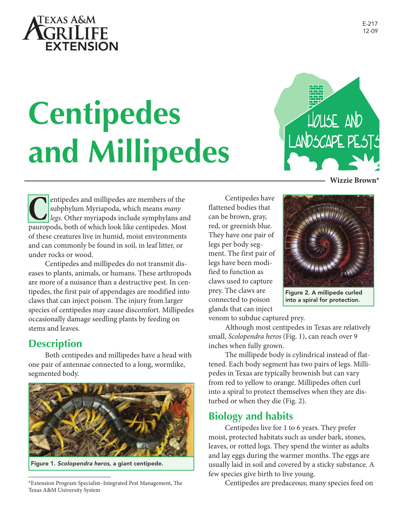

# **Centipedes and Millipedes**



**Wizzie Brown\***

entipedes and millipedes are members of the<br>subphylum Myriapoda, which means *many*<br>legs. Other myriapods include symphylans are<br>mayreneds, both of which look like continedes. Mos subphylum Myriapoda, which means *many legs*. Other myriapods include symphylans and pauropods, both of which look like centipedes. Most of these creatures live in humid, moist environments and can commonly be found in soil, in leaf litter, or under rocks or wood.

Centipedes and millipedes do not transmit diseases to plants, animals, or humans. These arthropods are more of a nuisance than a destructive pest. In centipedes, the first pair of appendages are modified into claws that can inject poison. The injury from larger species of centipedes may cause discomfort. Millipedes occasionally damage seedling plants by feeding on stems and leaves.

## **Description**

Both centipedes and millipedes have a head with one pair of antennae connected to a long, wormlike, segmented body.



Figure 1. *Scolopendra heros*, a giant centipede.

\*Extension Program Specialist-Integrated Pest Management, The Texas A&M University System

Centipedes have flattened bodies that can be brown, gray, red, or greenish blue. They have one pair of legs per body segment. The first pair of legs have been modified to function as claws used to capture prey. The claws are connected to poison glands that can inject



Figure 2. A millipede curled into a spiral for protection.

venom to subdue captured prey.

Although most centipedes in Texas are relatively small, *Scolopendra heros* (Fig. 1), can reach over 9 inches when fully grown.

The millipede body is cylindrical instead of flattened. Each body segment has two pairs of legs. Millipedes in Texas are typically brownish but can vary from red to yellow to orange. Millipedes often curl into a spiral to protect themselves when they are disturbed or when they die (Fig. 2).

### **Biology and habits**

Centipedes live for 1 to 6 years. They prefer moist, protected habitats such as under bark, stones, leaves, or rotted logs. They spend the winter as adults and lay eggs during the warmer months. The eggs are usually laid in soil and covered by a sticky substance. A few species give birth to live young.

Centipedes are predaceous; many species feed on